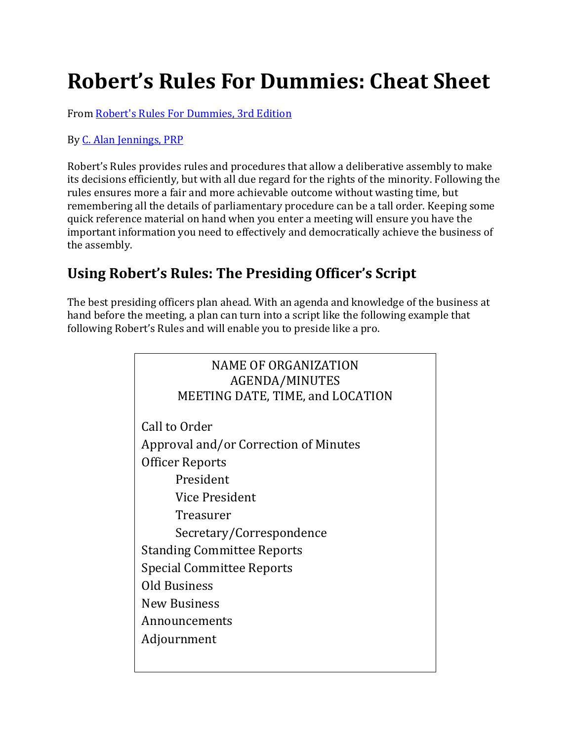# **Robert's Rules For Dummies: Cheat Sheet**

From [Robert's Rules For Dummies, 3rd Edition](http://www.dummies.com/store/product/Robert-s-Rules-For-Dummies-3rd-Edition.productCd-1119241715.html)

By [C. Alan Jennings, PRP](http://www.dummies.com/?s=&a=c-alan-jennings-prp) 

Robert's Rules provides rules and procedures that allow a deliberative assembly to make its decisions efficiently, but with all due regard for the rights of the minority. Following the rules ensures more a fair and more achievable outcome without wasting time, but remembering all the details of parliamentary procedure can be a tall order. Keeping some quick reference material on hand when you enter a meeting will ensure you have the important information you need to effectively and democratically achieve the business of the assembly.

# **Using Robert's Rules: The Presiding Officer's Script**

The best presiding officers plan ahead. With an agenda and knowledge of the business at hand before the meeting, a plan can turn into a script like the following example that following Robert's Rules and will enable you to preside like a pro.

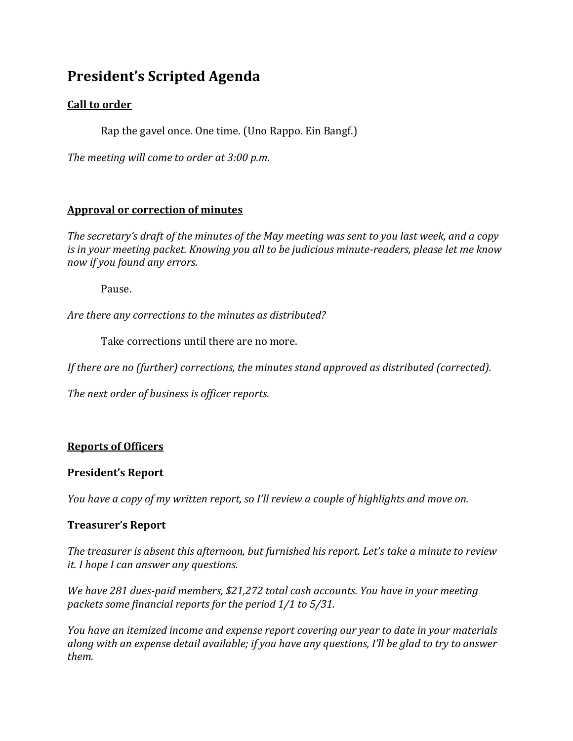### **President's Scripted Agenda**

#### **Call to order**

Rap the gavel once. One time. (Uno Rappo. Ein Bangf.)

*The meeting will come to order at 3:00 p.m.*

#### **Approval or correction of minutes**

*The secretary's draft of the minutes of the May meeting was sent to you last week, and a copy is in your meeting packet. Knowing you all to be judicious minute-readers, please let me know now if you found any errors.* 

Pause.

*Are there any corrections to the minutes as distributed?*

Take corrections until there are no more.

*If there are no (further) corrections, the minutes stand approved as distributed (corrected).*

*The next order of business is officer reports.*

#### **Reports of Officers**

#### **President's Report**

*You have a copy of my written report, so I'll review a couple of highlights and move on.* 

#### **Treasurer's Report**

*The treasurer is absent this afternoon, but furnished his report. Let's take a minute to review it. I hope I can answer any questions.*

*We have 281 dues-paid members, \$21,272 total cash accounts. You have in your meeting packets some financial reports for the period 1/1 to 5/31.*

*You have an itemized income and expense report covering our year to date in your materials along with an expense detail available; if you have any questions, I'll be glad to try to answer them.*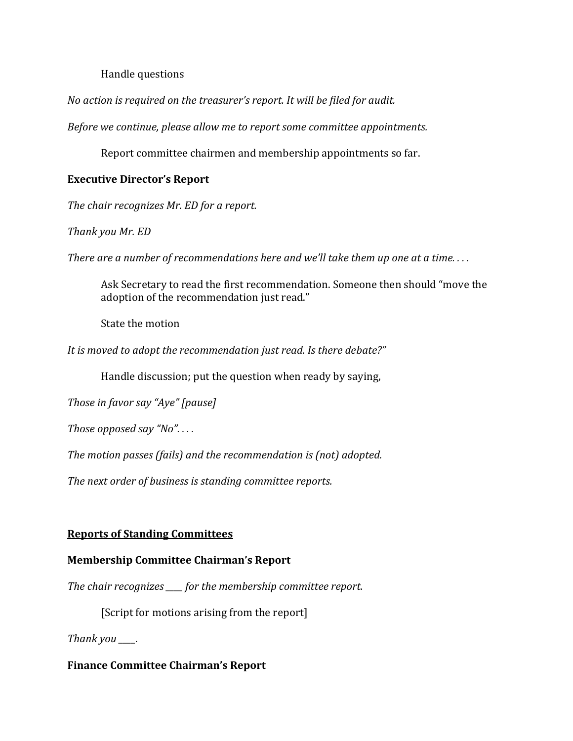#### Handle questions

*No action is required on the treasurer's report. It will be filed for audit.*

*Before we continue, please allow me to report some committee appointments.* 

Report committee chairmen and membership appointments so far.

#### **Executive Director's Report**

*The chair recognizes Mr. ED for a report.*

*Thank you Mr. ED*

*There are a number of recommendations here and we'll take them up one at a time. . . .*

Ask Secretary to read the first recommendation. Someone then should "move the adoption of the recommendation just read."

State the motion

*It is moved to adopt the recommendation just read. Is there debate?"* 

Handle discussion; put the question when ready by saying,

*Those in favor say "Aye" [pause]* 

*Those opposed say "No". . . .*

*The motion passes (fails) and the recommendation is (not) adopted.*

*The next order of business is standing committee reports.*

#### **Reports of Standing Committees**

#### **Membership Committee Chairman's Report**

*The chair recognizes \_\_\_\_ for the membership committee report.*

[Script for motions arising from the report]

*Thank you \_\_\_\_.*

**Finance Committee Chairman's Report**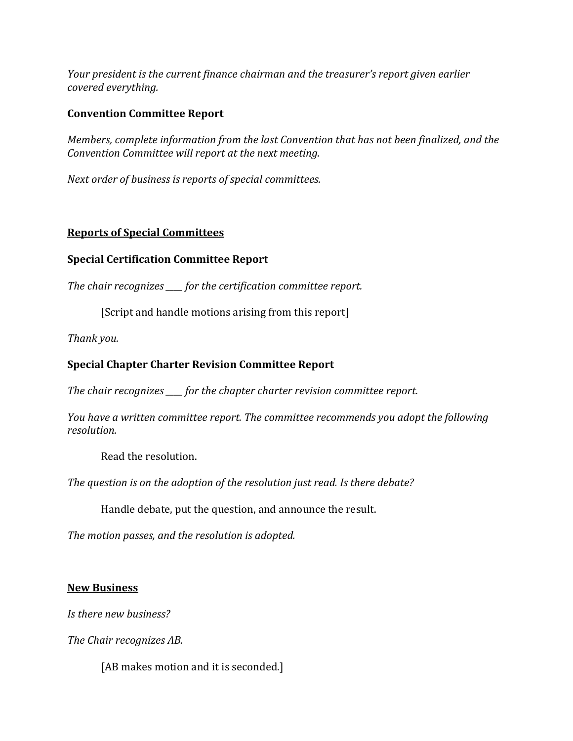*Your president is the current finance chairman and the treasurer's report given earlier covered everything.*

#### **Convention Committee Report**

*Members, complete information from the last Convention that has not been finalized, and the Convention Committee will report at the next meeting.*

*Next order of business is reports of special committees.*

#### **Reports of Special Committees**

#### **Special Certification Committee Report**

*The chair recognizes \_\_\_\_ for the certification committee report.*

[Script and handle motions arising from this report]

*Thank you.*

#### **Special Chapter Charter Revision Committee Report**

*The chair recognizes \_\_\_\_ for the chapter charter revision committee report.*

*You have a written committee report. The committee recommends you adopt the following resolution.*

Read the resolution.

*The question is on the adoption of the resolution just read. Is there debate?*

Handle debate, put the question, and announce the result.

*The motion passes, and the resolution is adopted.*

#### **New Business**

*Is there new business?*

*The Chair recognizes AB.*

[AB makes motion and it is seconded.]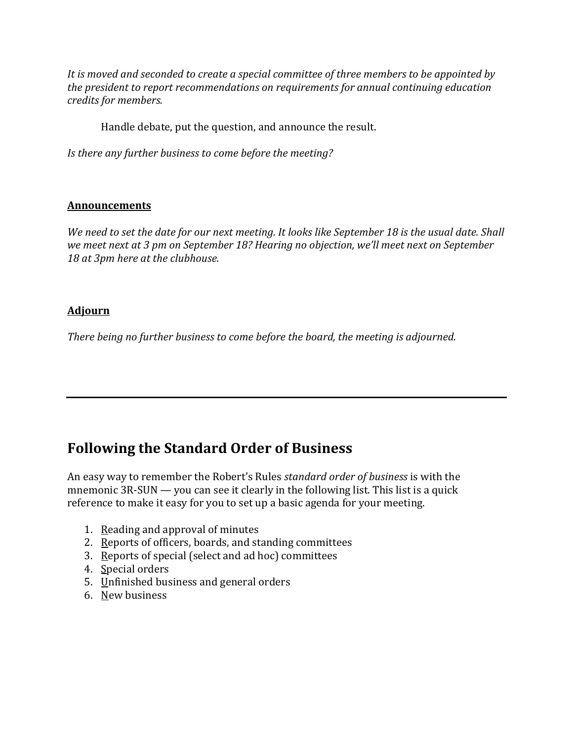*It is moved and seconded to create a special committee of three members to be appointed by the president to report recommendations on requirements for annual continuing education credits for members.*

Handle debate, put the question, and announce the result.

*Is there any further business to come before the meeting?*

#### **Announcements**

*We need to set the date for our next meeting. It looks like September 18 is the usual date. Shall we meet next at 3 pm on September 18? Hearing no objection, we'll meet next on September 18 at 3pm here at the clubhouse.*

#### **Adjourn**

*There being no further business to come before the board, the meeting is adjourned.*

### **Following the Standard Order of Business**

An easy way to remember the Robert's Rules *standard order of business* is with the mnemonic 3R-SUN — you can see it clearly in the following list. This list is a quick reference to make it easy for you to set up a basic agenda for your meeting.

- 1. Reading and approval of minutes
- 2. Reports of officers, boards, and standing committees
- 3. Reports of special (select and ad hoc) committees
- 4. Special orders
- 5. Unfinished business and general orders
- 6. New business